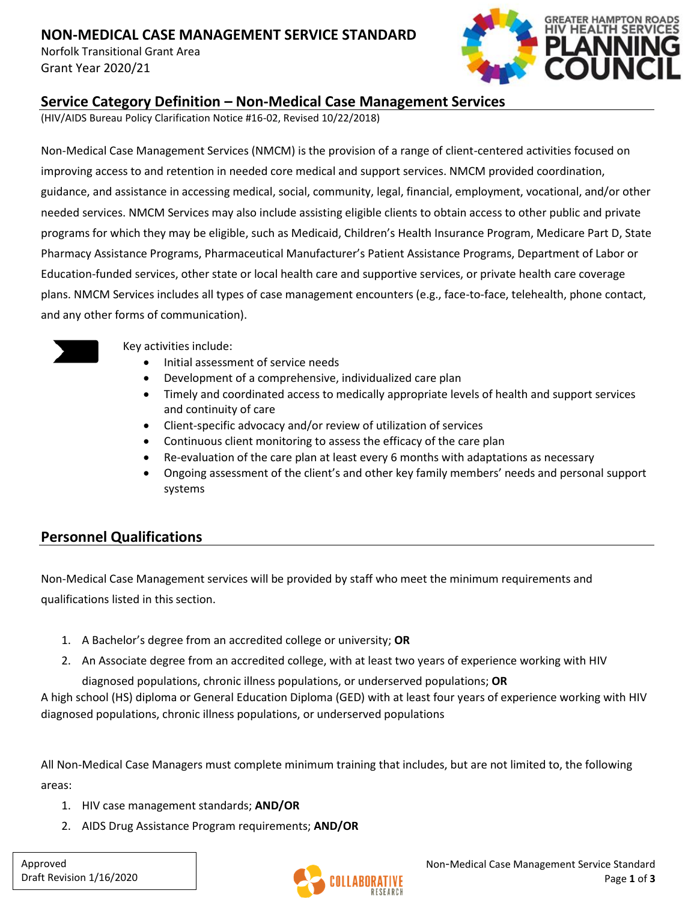# **NON-MEDICAL CASE MANAGEMENT SERVICE STANDARD**

Norfolk Transitional Grant Area Grant Year 2020/21



### **Service Category Definition – Non-Medical Case Management Services**

(HIV/AIDS Bureau Policy Clarification Notice #16-02, Revised 10/22/2018)

Non-Medical Case Management Services (NMCM) is the provision of a range of client-centered activities focused on improving access to and retention in needed core medical and support services. NMCM provided coordination, guidance, and assistance in accessing medical, social, community, legal, financial, employment, vocational, and/or other needed services. NMCM Services may also include assisting eligible clients to obtain access to other public and private programs for which they may be eligible, such as Medicaid, Children's Health Insurance Program, Medicare Part D, State Pharmacy Assistance Programs, Pharmaceutical Manufacturer's Patient Assistance Programs, Department of Labor or Education-funded services, other state or local health care and supportive services, or private health care coverage plans. NMCM Services includes all types of case management encounters (e.g., face-to-face, telehealth, phone contact, and any other forms of communication).



Key activities include:

- Initial assessment of service needs
- Development of a comprehensive, individualized care plan
- Timely and coordinated access to medically appropriate levels of health and support services and continuity of care
- Client-specific advocacy and/or review of utilization of services
- Continuous client monitoring to assess the efficacy of the care plan
- Re-evaluation of the care plan at least every 6 months with adaptations as necessary
- Ongoing assessment of the client's and other key family members' needs and personal support systems

# **Personnel Qualifications**

Non-Medical Case Management services will be provided by staff who meet the minimum requirements and qualifications listed in this section.

- 1. A Bachelor's degree from an accredited college or university; **OR**
- 2. An Associate degree from an accredited college, with at least two years of experience working with HIV

diagnosed populations, chronic illness populations, or underserved populations; **OR**

A high school (HS) diploma or General Education Diploma (GED) with at least four years of experience working with HIV diagnosed populations, chronic illness populations, or underserved populations

All Non-Medical Case Managers must complete minimum training that includes, but are not limited to, the following areas:

- 1. HIV case management standards; **AND/OR**
- 2. AIDS Drug Assistance Program requirements; **AND/OR**

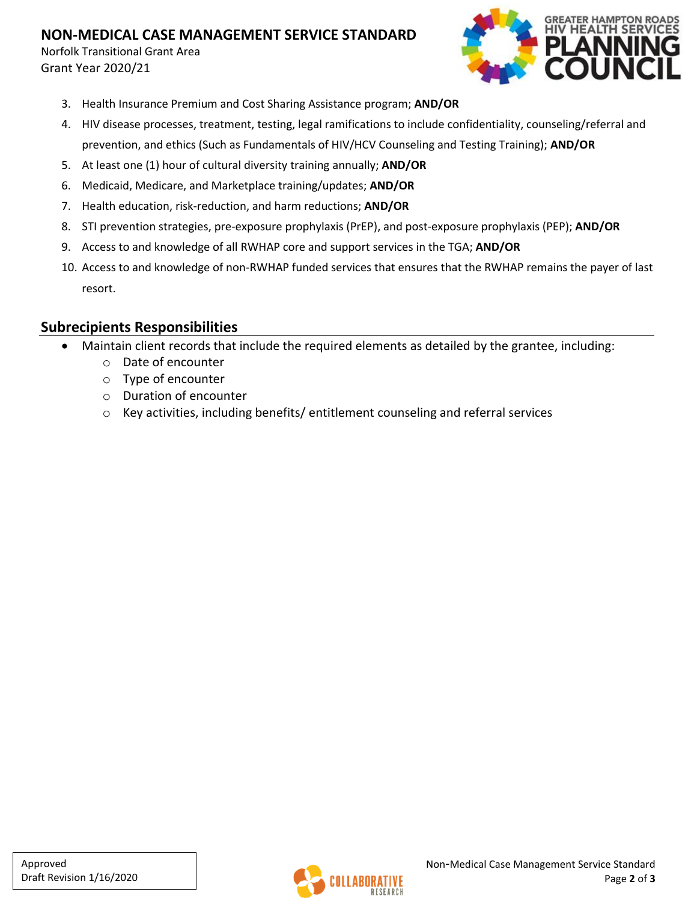## **NON-MEDICAL CASE MANAGEMENT SERVICE STANDARD**

Norfolk Transitional Grant Area Grant Year 2020/21



- 3. Health Insurance Premium and Cost Sharing Assistance program; **AND/OR**
- 4. HIV disease processes, treatment, testing, legal ramifications to include confidentiality, counseling/referral and prevention, and ethics (Such as Fundamentals of HIV/HCV Counseling and Testing Training); **AND/OR**
- 5. At least one (1) hour of cultural diversity training annually; **AND/OR**
- 6. Medicaid, Medicare, and Marketplace training/updates; **AND/OR**
- 7. Health education, risk-reduction, and harm reductions; **AND/OR**
- 8. STI prevention strategies, pre-exposure prophylaxis (PrEP), and post-exposure prophylaxis (PEP); **AND/OR**
- 9. Access to and knowledge of all RWHAP core and support services in the TGA; **AND/OR**
- 10. Access to and knowledge of non-RWHAP funded services that ensures that the RWHAP remains the payer of last resort.

### **Subrecipients Responsibilities**

- Maintain client records that include the required elements as detailed by the grantee, including:
	- o Date of encounter
	- o Type of encounter
	- o Duration of encounter
	- o Key activities, including benefits/ entitlement counseling and referral services